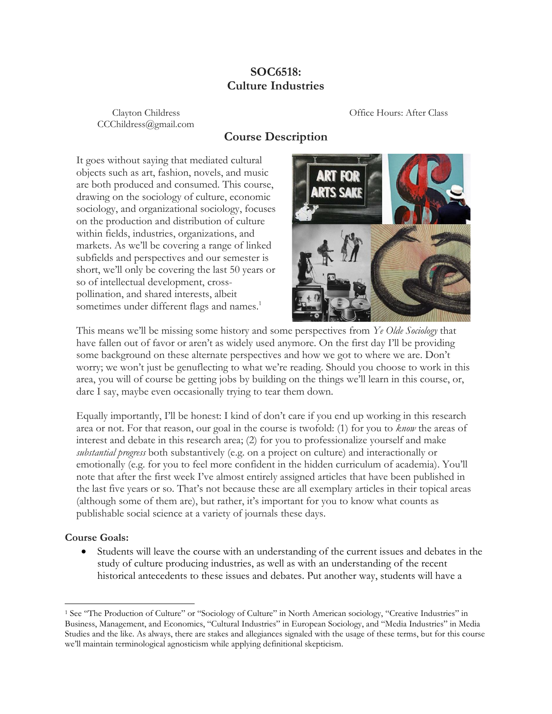## **SOC6518: Culture Industries**

CCChildress@gmail.com

Clayton Childress Office Hours: After Class

## **Course Description**

It goes without saying that mediated cultural objects such as art, fashion, novels, and music are both produced and consumed. This course, drawing on the sociology of culture, economic sociology, and organizational sociology, focuses on the production and distribution of culture within fields, industries, organizations, and markets. As we'll be covering a range of linked subfields and perspectives and our semester is short, we'll only be covering the last 50 years or so of intellectual development, crosspollination, and shared interests, albeit sometimes under different flags and names.<sup>1</sup>



This means we'll be missing some history and some perspectives from *Ye Olde Sociology* that have fallen out of favor or aren't as widely used anymore. On the first day I'll be providing some background on these alternate perspectives and how we got to where we are. Don't worry; we won't just be genuflecting to what we're reading. Should you choose to work in this area, you will of course be getting jobs by building on the things we'll learn in this course, or, dare I say, maybe even occasionally trying to tear them down.

Equally importantly, I'll be honest: I kind of don't care if you end up working in this research area or not. For that reason, our goal in the course is twofold: (1) for you to *know* the areas of interest and debate in this research area; (2) for you to professionalize yourself and make *substantial progress* both substantively (e.g. on a project on culture) and interactionally or emotionally (e.g. for you to feel more confident in the hidden curriculum of academia). You'll note that after the first week I've almost entirely assigned articles that have been published in the last five years or so. That's not because these are all exemplary articles in their topical areas (although some of them are), but rather, it's important for you to know what counts as publishable social science at a variety of journals these days.

### **Course Goals:**

• Students will leave the course with an understanding of the current issues and debates in the study of culture producing industries, as well as with an understanding of the recent historical antecedents to these issues and debates. Put another way, students will have a

<sup>&</sup>lt;sup>1</sup> See "The Production of Culture" or "Sociology of Culture" in North American sociology, "Creative Industries" in Business, Management, and Economics, "Cultural Industries" in European Sociology, and "Media Industries" in Media Studies and the like. As always, there are stakes and allegiances signaled with the usage of these terms, but for this course we'll maintain terminological agnosticism while applying definitional skepticism.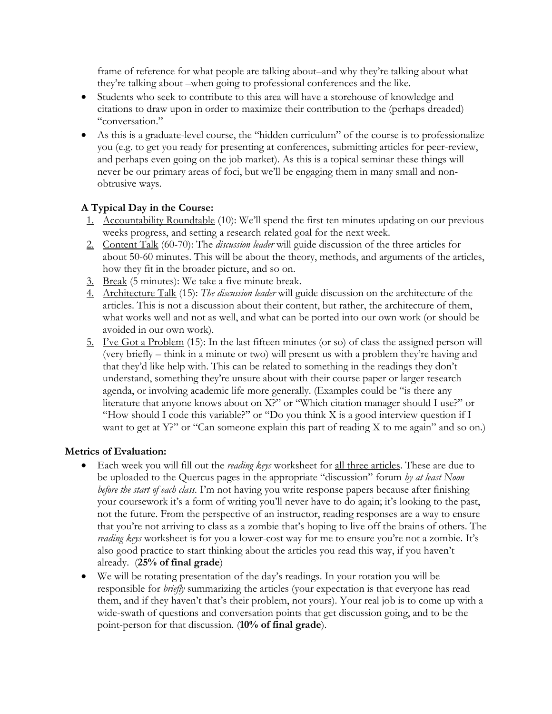frame of reference for what people are talking about–and why they're talking about what they're talking about –when going to professional conferences and the like.

- Students who seek to contribute to this area will have a storehouse of knowledge and citations to draw upon in order to maximize their contribution to the (perhaps dreaded) "conversation."
- As this is a graduate-level course, the "hidden curriculum" of the course is to professionalize you (e.g. to get you ready for presenting at conferences, submitting articles for peer-review, and perhaps even going on the job market). As this is a topical seminar these things will never be our primary areas of foci, but we'll be engaging them in many small and nonobtrusive ways.

## **A Typical Day in the Course:**

- 1. Accountability Roundtable (10): We'll spend the first ten minutes updating on our previous weeks progress, and setting a research related goal for the next week.
- 2. Content Talk (60-70): The *discussion leader* will guide discussion of the three articles for about 50-60 minutes. This will be about the theory, methods, and arguments of the articles, how they fit in the broader picture, and so on.
- 3. Break (5 minutes): We take a five minute break.
- 4. Architecture Talk (15): *The discussion leader* will guide discussion on the architecture of the articles. This is not a discussion about their content, but rather, the architecture of them, what works well and not as well, and what can be ported into our own work (or should be avoided in our own work).
- 5. I've Got a Problem (15): In the last fifteen minutes (or so) of class the assigned person will (very briefly – think in a minute or two) will present us with a problem they're having and that they'd like help with. This can be related to something in the readings they don't understand, something they're unsure about with their course paper or larger research agenda, or involving academic life more generally. (Examples could be "is there any literature that anyone knows about on X?" or "Which citation manager should I use?" or "How should I code this variable?" or "Do you think X is a good interview question if I want to get at Y?" or "Can someone explain this part of reading X to me again" and so on.)

## **Metrics of Evaluation:**

- Each week you will fill out the *reading keys* worksheet for all three articles. These are due to be uploaded to the Quercus pages in the appropriate "discussion" forum *by at least Noon before the start of each class.* I'm not having you write response papers because after finishing your coursework it's a form of writing you'll never have to do again; it's looking to the past, not the future. From the perspective of an instructor, reading responses are a way to ensure that you're not arriving to class as a zombie that's hoping to live off the brains of others. The *reading keys* worksheet is for you a lower-cost way for me to ensure you're not a zombie. It's also good practice to start thinking about the articles you read this way, if you haven't already. (**25% of final grade**)
- We will be rotating presentation of the day's readings. In your rotation you will be responsible for *briefly* summarizing the articles (your expectation is that everyone has read them, and if they haven't that's their problem, not yours). Your real job is to come up with a wide-swath of questions and conversation points that get discussion going, and to be the point-person for that discussion. (**10% of final grade**).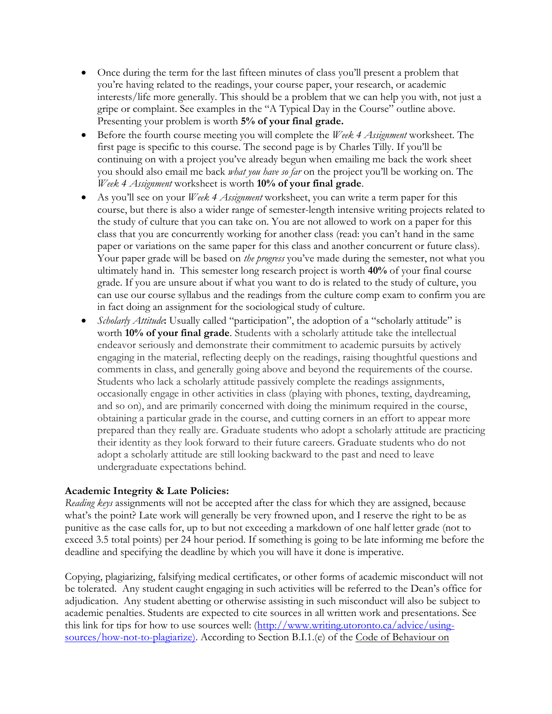- Once during the term for the last fifteen minutes of class you'll present a problem that you're having related to the readings, your course paper, your research, or academic interests/life more generally. This should be a problem that we can help you with, not just a gripe or complaint. See examples in the "A Typical Day in the Course" outline above. Presenting your problem is worth **5% of your final grade.**
- Before the fourth course meeting you will complete the *Week 4 Assignment* worksheet. The first page is specific to this course. The second page is by Charles Tilly. If you'll be continuing on with a project you've already begun when emailing me back the work sheet you should also email me back *what you have so far* on the project you'll be working on. The *Week 4 Assignment* worksheet is worth **10% of your final grade**.
- As you'll see on your *Week 4 Assignment* worksheet, you can write a term paper for this course, but there is also a wider range of semester-length intensive writing projects related to the study of culture that you can take on. You are not allowed to work on a paper for this class that you are concurrently working for another class (read: you can't hand in the same paper or variations on the same paper for this class and another concurrent or future class). Your paper grade will be based on *the progress* you've made during the semester, not what you ultimately hand in. This semester long research project is worth **40%** of your final course grade. If you are unsure about if what you want to do is related to the study of culture, you can use our course syllabus and the readings from the culture comp exam to confirm you are in fact doing an assignment for the sociological study of culture.
- *Scholarly Attitude***:** Usually called "participation", the adoption of a "scholarly attitude" is worth **10% of your final grade**. Students with a scholarly attitude take the intellectual endeavor seriously and demonstrate their commitment to academic pursuits by actively engaging in the material, reflecting deeply on the readings, raising thoughtful questions and comments in class, and generally going above and beyond the requirements of the course. Students who lack a scholarly attitude passively complete the readings assignments, occasionally engage in other activities in class (playing with phones, texting, daydreaming, and so on), and are primarily concerned with doing the minimum required in the course, obtaining a particular grade in the course, and cutting corners in an effort to appear more prepared than they really are. Graduate students who adopt a scholarly attitude are practicing their identity as they look forward to their future careers. Graduate students who do not adopt a scholarly attitude are still looking backward to the past and need to leave undergraduate expectations behind.

### **Academic Integrity & Late Policies:**

*Reading keys* assignments will not be accepted after the class for which they are assigned, because what's the point? Late work will generally be very frowned upon, and I reserve the right to be as punitive as the case calls for, up to but not exceeding a markdown of one half letter grade (not to exceed 3.5 total points) per 24 hour period. If something is going to be late informing me before the deadline and specifying the deadline by which you will have it done is imperative.

Copying, plagiarizing, falsifying medical certificates, or other forms of academic misconduct will not be tolerated. Any student caught engaging in such activities will be referred to the Dean's office for adjudication. Any student abetting or otherwise assisting in such misconduct will also be subject to academic penalties. Students are expected to cite sources in all written work and presentations. See this link for tips for how to use sources well: [\(http://www.writing.utoronto.ca/advice/using](http://www.writing.utoronto.ca/advice/using-sources/how-not-to-plagiarize))[sources/how-not-to-plagiarize\).](http://www.writing.utoronto.ca/advice/using-sources/how-not-to-plagiarize)) According to Section B.I.1.(e) of the Code of Behaviour on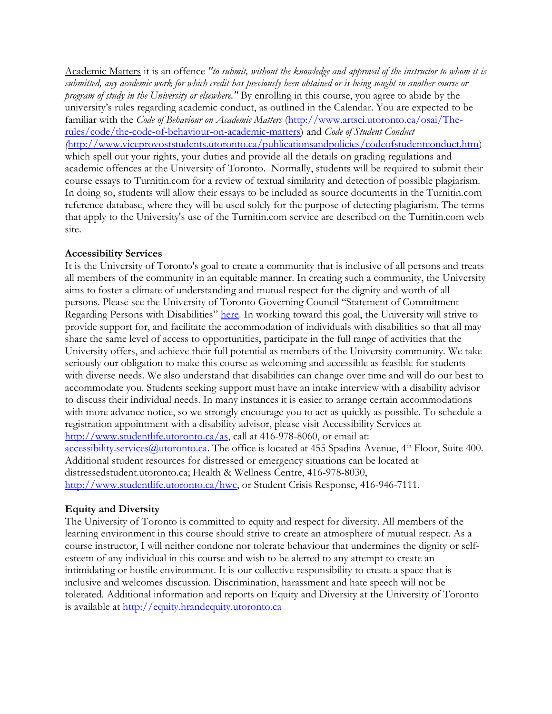Academic Matters it is an offence *"to submit, without the knowledge and approval of the instructor to whom it is submitted, any academic work for which credit has previously been obtained or is being sought in another course or program of study in the University or elsewhere."* By enrolling in this course, you agree to abide by the university's rules regarding academic conduct, as outlined in the Calendar. You are expected to be familiar with the *Code of Behaviour on Academic Matters* [\(http://www.artsci.utoronto.ca/osai/The](http://www.artsci.utoronto.ca/osai/The-rules/code/the-code-of-behaviour-on-academic-matters)[rules/code/the-code-of-behaviour-on-academic-matters\)](http://www.artsci.utoronto.ca/osai/The-rules/code/the-code-of-behaviour-on-academic-matters) and *Code of Student Conduct (*[http://www.viceprovoststudents.utoronto.ca/publicationsandpolicies/codeofstudentconduct.htm\)](http://www.viceprovoststudents.utoronto.ca/publicationsandpolicies/codeofstudentconduct.htm) which spell out your rights, your duties and provide all the details on grading regulations and academic offences at the University of Toronto. Normally, students will be required to submit their course essays to Turnitin.com for a review of textual similarity and detection of possible plagiarism. In doing so, students will allow their essays to be included as source documents in the Turnitin.com reference database, where they will be used solely for the purpose of detecting plagiarism. The terms that apply to the University's use of the Turnitin.com service are described on the Turnitin.com web site.

#### **Accessibility Services**

It is the University of Toronto's goal to create a community that is inclusive of all persons and treats all members of the community in an equitable manner. In creating such a community, the University aims to foster a climate of understanding and mutual respect for the dignity and worth of all persons. Please see the University of Toronto Governing Council "Statement of Commitment Regarding Persons with Disabilities" [here.](http://www.governingcouncil.utoronto.ca/Assets/Governing+Council+Digital+Assets/Policies/PDF/ppnov012004.pdf) In working toward this goal, the University will strive to provide support for, and facilitate the accommodation of individuals with disabilities so that all may share the same level of access to opportunities, participate in the full range of activities that the University offers, and achieve their full potential as members of the University community. We take seriously our obligation to make this course as welcoming and accessible as feasible for students with diverse needs. We also understand that disabilities can change over time and will do our best to accommodate you. Students seeking support must have an intake interview with a disability advisor to discuss their individual needs. In many instances it is easier to arrange certain accommodations with more advance notice, so we strongly encourage you to act as quickly as possible. To schedule a registration appointment with a disability advisor, please visit Accessibility Services at [http://www.studentlife.utoronto.ca/as,](http://www.studentlife.utoronto.ca/as) call at 416-978-8060, or email at: [accessibility.services@utoronto.ca.](mailto:accessibility.services@utoronto.ca) The office is located at 455 Spadina Avenue, 4<sup>th</sup> Floor, Suite 400. Additional student resources for distressed or emergency situations can be located at distressedstudent.utoronto.ca; Health & Wellness Centre, 416-978-8030, [http://www.studentlife.utoronto.ca/hwc,](http://www.studentlife.utoronto.ca/hwc) or Student Crisis Response, 416-946-7111.

### **Equity and Diversity**

The University of Toronto is committed to equity and respect for diversity. All members of the learning environment in this course should strive to create an atmosphere of mutual respect. As a course instructor, I will neither condone nor tolerate behaviour that undermines the dignity or selfesteem of any individual in this course and wish to be alerted to any attempt to create an intimidating or hostile environment. It is our collective responsibility to create a space that is inclusive and welcomes discussion. Discrimination, harassment and hate speech will not be tolerated. Additional information and reports on Equity and Diversity at the University of Toronto is available at [http://equity.hrandequity.utoronto.ca](http://equity.hrandequity.utoronto.ca/)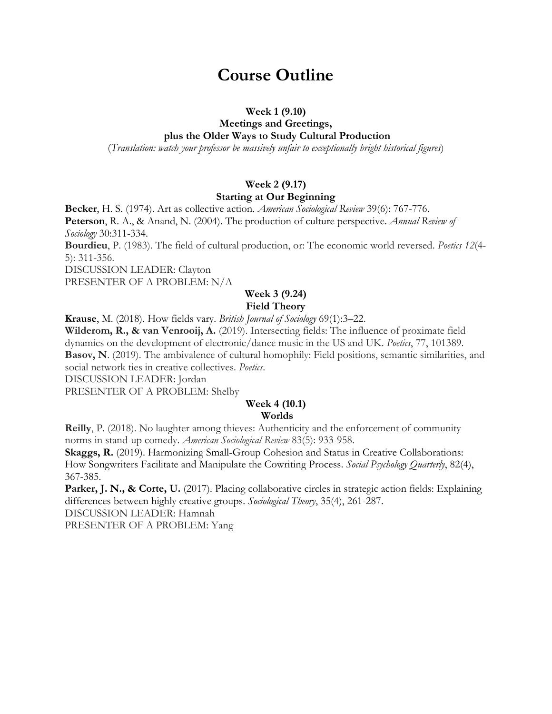# **Course Outline**

#### **Week 1 (9.10)**

#### **Meetings and Greetings, plus the Older Ways to Study Cultural Production**

(*Translation: watch your professor be massively unfair to exceptionally bright historical figures*)

## **Week 2 (9.17) Starting at Our Beginning**

**Becker**, H. S. (1974). Art as collective action. *American Sociological Review* 39(6): 767-776. **Peterson**, R. A., & Anand, N. (2004). The production of culture perspective. *Annual Review of Sociology* 30:311-334. **Bourdieu**, P. (1983). The field of cultural production, or: The economic world reversed. *Poetics 12*(4- 5): 311-356.

DISCUSSION LEADER: Clayton

PRESENTER OF A PROBLEM: N/A

## **Week 3 (9.24)**

## **Field Theory**

**Krause**, M. (2018). How fields vary. *British Journal of Sociology* 69(1):3–22.

**Wilderom, R., & van Venrooij, A.** (2019). Intersecting fields: The influence of proximate field dynamics on the development of electronic/dance music in the US and UK. *Poetics*, 77, 101389. **Basov, N**. (2019). The ambivalence of cultural homophily: Field positions, semantic similarities, and social network ties in creative collectives. *Poetics*.

DISCUSSION LEADER: Jordan

PRESENTER OF A PROBLEM: Shelby

## **Week 4 (10.1)**

## **Worlds**

**Reilly**, P. (2018). No laughter among thieves: Authenticity and the enforcement of community norms in stand-up comedy. *American Sociological Review* 83(5): 933-958.

**Skaggs, R.** (2019). Harmonizing Small-Group Cohesion and Status in Creative Collaborations: How Songwriters Facilitate and Manipulate the Cowriting Process. *Social Psychology Quarterly*, 82(4), 367-385.

**Parker, J. N., & Corte, U.** (2017). Placing collaborative circles in strategic action fields: Explaining differences between highly creative groups. *Sociological Theory*, 35(4), 261-287. DISCUSSION LEADER: Hamnah PRESENTER OF A PROBLEM: Yang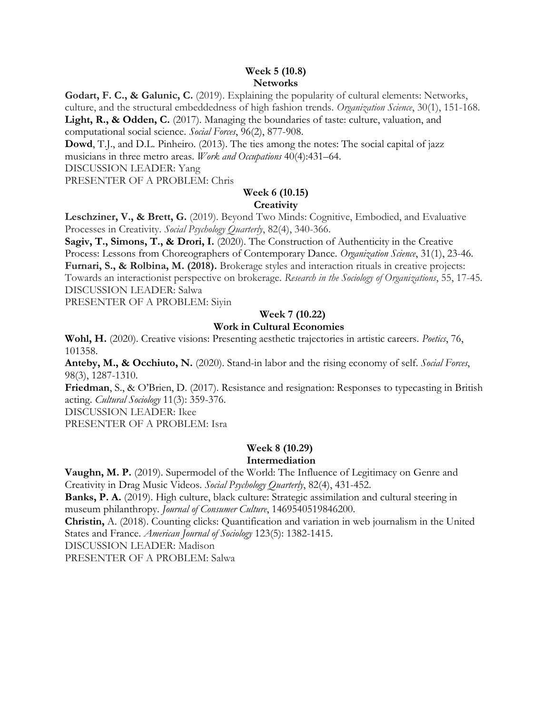#### **Week 5 (10.8) Networks**

**Godart, F. C., & Galunic, C.** (2019). Explaining the popularity of cultural elements: Networks, culture, and the structural embeddedness of high fashion trends. *Organization Science*, 30(1), 151-168. Light, R., & Odden, C. (2017). Managing the boundaries of taste: culture, valuation, and computational social science. *Social Forces*, 96(2), 877-908.

**Dowd**, T.J., and D.L. Pinheiro. (2013). The ties among the notes: The social capital of jazz

musicians in three metro areas. *Work and Occupations* 40(4):431–64.

DISCUSSION LEADER: Yang

PRESENTER OF A PROBLEM: Chris

#### **Week 6 (10.15) Creativity**

**Leschziner, V., & Brett, G.** (2019). Beyond Two Minds: Cognitive, Embodied, and Evaluative Processes in Creativity. *Social Psychology Quarterly*, 82(4), 340-366.

**Sagiv, T., Simons, T., & Drori, I.** (2020). The Construction of Authenticity in the Creative Process: Lessons from Choreographers of Contemporary Dance. *Organization Science*, 31(1), 23-46. **Furnari, S., & Rolbina, M. (2018).** Brokerage styles and interaction rituals in creative projects: Towards an interactionist perspective on brokerage. *Research in the Sociology of Organizations*, 55, 17-45. DISCUSSION LEADER: Salwa

PRESENTER OF A PROBLEM: Siyin

## **Week 7 (10.22)**

### **Work in Cultural Economies**

**Wohl, H.** (2020). Creative visions: Presenting aesthetic trajectories in artistic careers. *Poetics*, 76, 101358.

**Anteby, M., & Occhiuto, N.** (2020). Stand-in labor and the rising economy of self. *Social Forces*, 98(3), 1287-1310.

**Friedman**, S., & O'Brien, D. (2017). Resistance and resignation: Responses to typecasting in British acting. *Cultural Sociology* 11(3): 359-376.

DISCUSSION LEADER: Ikee

PRESENTER OF A PROBLEM: Isra

#### **Week 8 (10.29) Intermediation**

**Vaughn, M. P.** (2019). Supermodel of the World: The Influence of Legitimacy on Genre and Creativity in Drag Music Videos. *Social Psychology Quarterly*, 82(4), 431-452.

**Banks, P. A.** (2019). High culture, black culture: Strategic assimilation and cultural steering in museum philanthropy. *Journal of Consumer Culture*, 1469540519846200.

**Christin,** A. (2018). Counting clicks: Quantification and variation in web journalism in the United States and France. *American Journal of Sociology* 123(5): 1382-1415.

DISCUSSION LEADER: Madison

PRESENTER OF A PROBLEM: Salwa